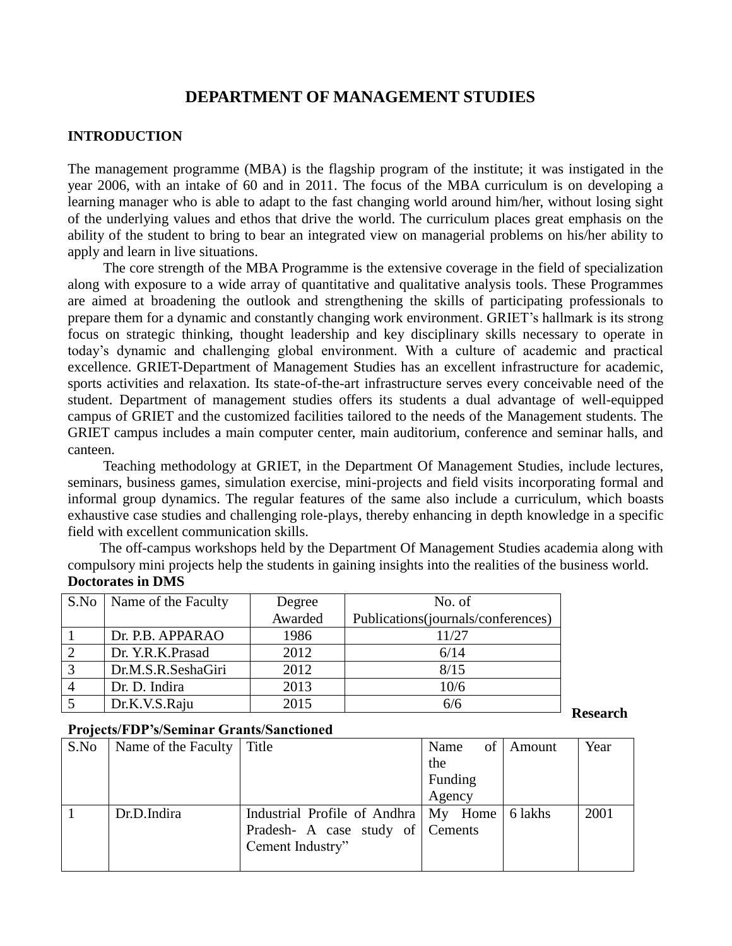# **DEPARTMENT OF MANAGEMENT STUDIES**

#### **INTRODUCTION**

The management programme (MBA) is the flagship program of the institute; it was instigated in the year 2006, with an intake of 60 and in 2011. The focus of the MBA curriculum is on developing a learning manager who is able to adapt to the fast changing world around him/her, without losing sight of the underlying values and ethos that drive the world. The curriculum places great emphasis on the ability of the student to bring to bear an integrated view on managerial problems on his/her ability to apply and learn in live situations.

 The core strength of the MBA Programme is the extensive coverage in the field of specialization along with exposure to a wide array of quantitative and qualitative analysis tools. These Programmes are aimed at broadening the outlook and strengthening the skills of participating professionals to prepare them for a dynamic and constantly changing work environment. GRIET"s hallmark is its strong focus on strategic thinking, thought leadership and key disciplinary skills necessary to operate in today"s dynamic and challenging global environment. With a culture of academic and practical excellence. GRIET-Department of Management Studies has an excellent infrastructure for academic, sports activities and relaxation. Its state-of-the-art infrastructure serves every conceivable need of the student. Department of management studies offers its students a dual advantage of well-equipped campus of GRIET and the customized facilities tailored to the needs of the Management students. The GRIET campus includes a main computer center, main auditorium, conference and seminar halls, and canteen.

 Teaching methodology at GRIET, in the Department Of Management Studies, include lectures, seminars, business games, simulation exercise, mini-projects and field visits incorporating formal and informal group dynamics. The regular features of the same also include a curriculum, which boasts exhaustive case studies and challenging role-plays, thereby enhancing in depth knowledge in a specific field with excellent communication skills.

 The off-campus workshops held by the Department Of Management Studies academia along with compulsory mini projects help the students in gaining insights into the realities of the business world. **Doctorates in DMS**

|               | S.No   Name of the Faculty | Degree  | No. of                             |
|---------------|----------------------------|---------|------------------------------------|
|               |                            | Awarded | Publications(journals/conferences) |
|               | Dr. P.B. APPARAO           | 1986    | 11/27                              |
| $\mathcal{D}$ | Dr. Y.R.K.Prasad           | 2012    | 6/14                               |
| 3             | Dr.M.S.R.SeshaGiri         | 2012    | 8/15                               |
|               | Dr. D. Indira              | 2013    | 10/6                               |
|               | Dr.K.V.S.Raju              | 2015    | 6/6                                |

**Research** 

## **Projects/FDP's/Seminar Grants/Sanctioned**

| S.No | Name of the Faculty   Title |                                        | of <sup>1</sup><br>Name | Amount  | Year |
|------|-----------------------------|----------------------------------------|-------------------------|---------|------|
|      |                             |                                        | the                     |         |      |
|      |                             |                                        | Funding                 |         |      |
|      |                             |                                        | Agency                  |         |      |
|      | Dr.D.Indira                 | Industrial Profile of Andhra   My Home |                         | 6 lakhs | 2001 |
|      |                             | Pradesh- A case study of Cements       |                         |         |      |
|      |                             | Cement Industry"                       |                         |         |      |
|      |                             |                                        |                         |         |      |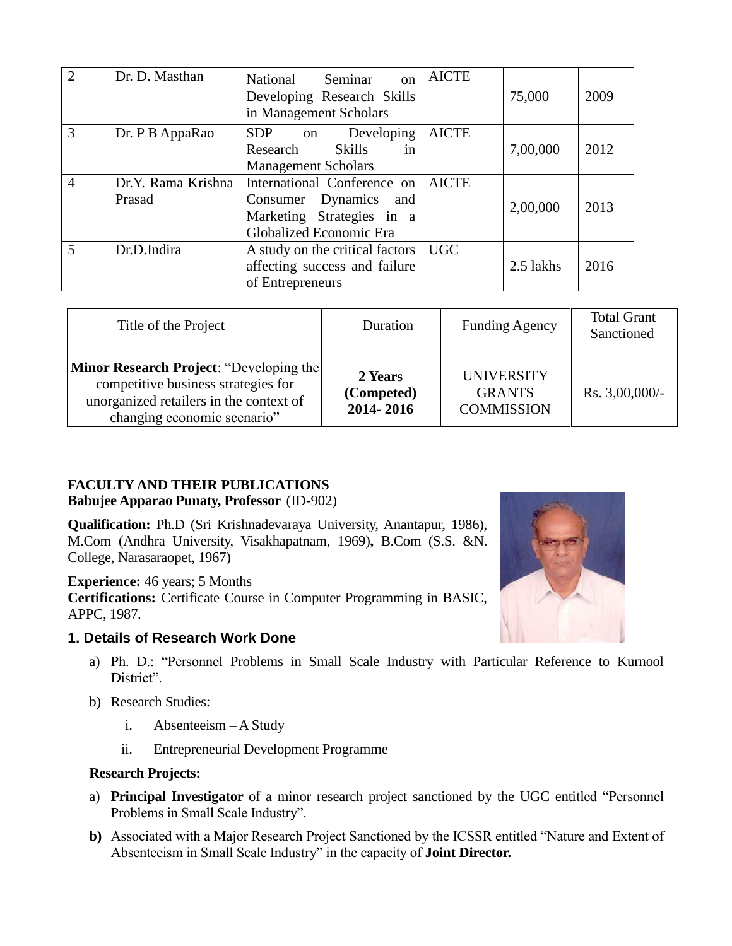| $\overline{2}$ | Dr. D. Masthan               | National<br>Seminar<br>$\alpha$<br>Developing Research Skills<br>in Management Scholars                              | <b>AICTE</b> | 75,000    | 2009 |
|----------------|------------------------------|----------------------------------------------------------------------------------------------------------------------|--------------|-----------|------|
| 3              | Dr. P B AppaRao              | Developing   AICTE<br>SDP on<br>Research Skills<br>in<br><b>Management Scholars</b>                                  |              | 7,00,000  | 2012 |
| $\overline{4}$ | Dr.Y. Rama Krishna<br>Prasad | International Conference on   AICTE<br>Consumer Dynamics and<br>Marketing Strategies in a<br>Globalized Economic Era |              | 2,00,000  | 2013 |
| 5              | Dr.D.Indira                  | A study on the critical factors   UGC<br>affecting success and failure<br>of Entrepreneurs                           |              | 2.5 lakhs | 2016 |

| Title of the Project                                                                                                                                            | Duration                           | <b>Funding Agency</b>                                   | <b>Total Grant</b><br>Sanctioned |
|-----------------------------------------------------------------------------------------------------------------------------------------------------------------|------------------------------------|---------------------------------------------------------|----------------------------------|
| <b>Minor Research Project: "Developing the</b><br>competitive business strategies for<br>unorganized retailers in the context of<br>changing economic scenario" | 2 Years<br>(Competed)<br>2014-2016 | <b>UNIVERSITY</b><br><b>GRANTS</b><br><b>COMMISSION</b> | Rs. $3,00,000/-$                 |

# **FACULTY AND THEIR PUBLICATIONS**

**Babujee Apparao Punaty, Professor** (ID-902)

**Qualification:** Ph.D (Sri Krishnadevaraya University, Anantapur, 1986), M.Com (Andhra University, Visakhapatnam, 1969)**,** B.Com (S.S. &N. College, Narasaraopet, 1967)

**Experience:** 46 years; 5 Months **Certifications:** Certificate Course in Computer Programming in BASIC, APPC, 1987.

# **1. Details of Research Work Done**



- a) Ph. D.: "Personnel Problems in Small Scale Industry with Particular Reference to Kurnool District".
- b) Research Studies:
	- i. Absenteeism A Study
	- ii. Entrepreneurial Development Programme

# **Research Projects:**

- a) **Principal Investigator** of a minor research project sanctioned by the UGC entitled "Personnel Problems in Small Scale Industry".
- **b)** Associated with a Major Research Project Sanctioned by the ICSSR entitled "Nature and Extent of Absenteeism in Small Scale Industry" in the capacity of **Joint Director.**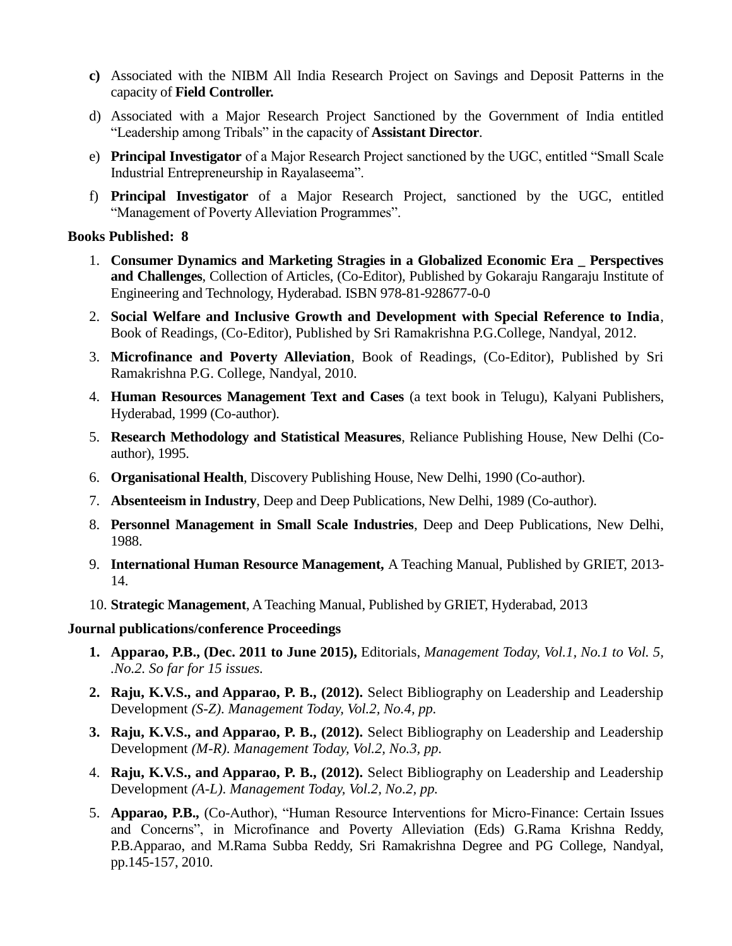- **c)** Associated with the NIBM All India Research Project on Savings and Deposit Patterns in the capacity of **Field Controller.**
- d) Associated with a Major Research Project Sanctioned by the Government of India entitled "Leadership among Tribals" in the capacity of **Assistant Director**.
- e) **Principal Investigator** of a Major Research Project sanctioned by the UGC, entitled "Small Scale Industrial Entrepreneurship in Rayalaseema".
- f) **Principal Investigator** of a Major Research Project, sanctioned by the UGC, entitled "Management of Poverty Alleviation Programmes".

#### **Books Published: 8**

- 1. **Consumer Dynamics and Marketing Stragies in a Globalized Economic Era \_ Perspectives and Challenges**, Collection of Articles, (Co-Editor), Published by Gokaraju Rangaraju Institute of Engineering and Technology, Hyderabad. ISBN 978-81-928677-0-0
- 2. **Social Welfare and Inclusive Growth and Development with Special Reference to India**, Book of Readings, (Co-Editor), Published by Sri Ramakrishna P.G.College, Nandyal, 2012.
- 3. **Microfinance and Poverty Alleviation**, Book of Readings, (Co-Editor), Published by Sri Ramakrishna P.G. College, Nandyal, 2010.
- 4. **Human Resources Management Text and Cases** (a text book in Telugu), Kalyani Publishers, Hyderabad, 1999 (Co-author).
- 5. **Research Methodology and Statistical Measures**, Reliance Publishing House, New Delhi (Coauthor), 1995.
- 6. **Organisational Health**, Discovery Publishing House, New Delhi, 1990 (Co-author).
- 7. **Absenteeism in Industry**, Deep and Deep Publications, New Delhi, 1989 (Co-author).
- 8. **Personnel Management in Small Scale Industries**, Deep and Deep Publications, New Delhi, 1988.
- 9. **International Human Resource Management,** A Teaching Manual, Published by GRIET, 2013- 14.
- 10. **Strategic Management**, A Teaching Manual, Published by GRIET, Hyderabad, 2013

#### **Journal publications/conference Proceedings**

- **1. Apparao, P.B., (Dec. 2011 to June 2015),** Editorials, *Management Today, Vol.1, No.1 to Vol. 5, .No.2. So far for 15 issues.*
- **2. Raju, K.V.S., and Apparao, P. B., (2012).** Select Bibliography on Leadership and Leadership Development *(S-Z)*. *Management Today, Vol.2, No.4, pp.*
- **3. Raju, K.V.S., and Apparao, P. B., (2012).** Select Bibliography on Leadership and Leadership Development *(M-R)*. *Management Today, Vol.2, No.3, pp.*
- 4. **Raju, K.V.S., and Apparao, P. B., (2012).** Select Bibliography on Leadership and Leadership Development *(A-L)*. *Management Today, Vol.2, No.2, pp.*
- 5. **Apparao, P.B.,** (Co-Author), "Human Resource Interventions for Micro-Finance: Certain Issues and Concerns", in Microfinance and Poverty Alleviation (Eds) G.Rama Krishna Reddy, P.B.Apparao, and M.Rama Subba Reddy, Sri Ramakrishna Degree and PG College, Nandyal, pp.145-157, 2010.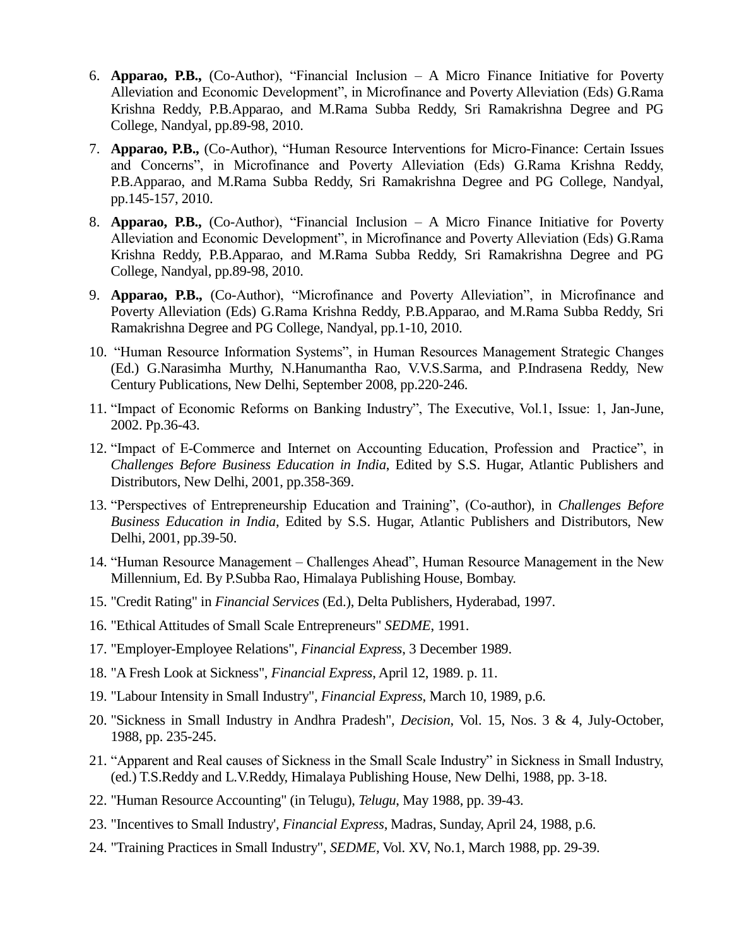- 6. **Apparao, P.B.,** (Co-Author), "Financial Inclusion A Micro Finance Initiative for Poverty Alleviation and Economic Development", in Microfinance and Poverty Alleviation (Eds) G.Rama Krishna Reddy, P.B.Apparao, and M.Rama Subba Reddy, Sri Ramakrishna Degree and PG College, Nandyal, pp.89-98, 2010.
- 7. **Apparao, P.B.,** (Co-Author), "Human Resource Interventions for Micro-Finance: Certain Issues and Concerns", in Microfinance and Poverty Alleviation (Eds) G.Rama Krishna Reddy, P.B.Apparao, and M.Rama Subba Reddy, Sri Ramakrishna Degree and PG College, Nandyal, pp.145-157, 2010.
- 8. **Apparao, P.B.,** (Co-Author), "Financial Inclusion A Micro Finance Initiative for Poverty Alleviation and Economic Development", in Microfinance and Poverty Alleviation (Eds) G.Rama Krishna Reddy, P.B.Apparao, and M.Rama Subba Reddy, Sri Ramakrishna Degree and PG College, Nandyal, pp.89-98, 2010.
- 9. **Apparao, P.B.,** (Co-Author), "Microfinance and Poverty Alleviation", in Microfinance and Poverty Alleviation (Eds) G.Rama Krishna Reddy, P.B.Apparao, and M.Rama Subba Reddy, Sri Ramakrishna Degree and PG College, Nandyal, pp.1-10, 2010.
- 10. "Human Resource Information Systems", in Human Resources Management Strategic Changes (Ed.) G.Narasimha Murthy, N.Hanumantha Rao, V.V.S.Sarma, and P.Indrasena Reddy, New Century Publications, New Delhi, September 2008, pp.220-246.
- 11. "Impact of Economic Reforms on Banking Industry", The Executive, Vol.1, Issue: 1, Jan-June, 2002. Pp.36-43.
- 12. "Impact of E-Commerce and Internet on Accounting Education, Profession and Practice", in *Challenges Before Business Education in India*, Edited by S.S. Hugar, Atlantic Publishers and Distributors, New Delhi, 2001, pp.358-369.
- 13. "Perspectives of Entrepreneurship Education and Training", (Co-author), in *Challenges Before Business Education in India*, Edited by S.S. Hugar, Atlantic Publishers and Distributors, New Delhi, 2001, pp.39-50.
- 14. "Human Resource Management Challenges Ahead", Human Resource Management in the New Millennium, Ed. By P.Subba Rao, Himalaya Publishing House, Bombay.
- 15. "Credit Rating" in *Financial Services* (Ed.), Delta Publishers, Hyderabad, 1997.
- 16. "Ethical Attitudes of Small Scale Entrepreneurs" *SEDME*, 1991.
- 17. "Employer-Employee Relations", *Financial Express*, 3 December 1989.
- 18. "A Fresh Look at Sickness", *Financial Express*, April 12, 1989. p. 11.
- 19. "Labour Intensity in Small Industry", *Financial Express*, March 10, 1989, p.6.
- 20. "Sickness in Small Industry in Andhra Pradesh", *Decision*, Vol. 15, Nos. 3 & 4, July-October, 1988, pp. 235-245.
- 21. "Apparent and Real causes of Sickness in the Small Scale Industry" in Sickness in Small Industry, (ed.) T.S.Reddy and L.V.Reddy, Himalaya Publishing House, New Delhi, 1988, pp. 3-18.
- 22. "Human Resource Accounting" (in Telugu), *Telugu*, May 1988, pp. 39-43.
- 23. "Incentives to Small Industry'*, Financial Express*, Madras, Sunday, April 24, 1988, p.6.
- 24. "Training Practices in Small Industry", *SEDME*, Vol. XV, No.1, March 1988, pp. 29-39.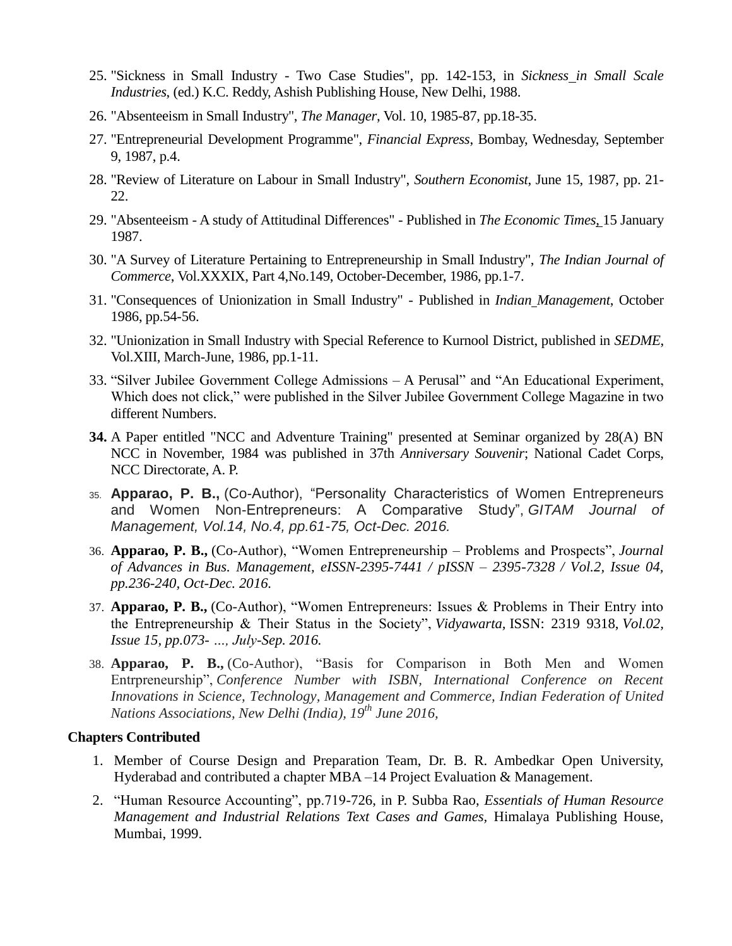- 25. "Sickness in Small Industry Two Case Studies", pp. 142-153, in *Sickness in Small Scale Industries*, (ed.) K.C. Reddy, Ashish Publishing House, New Delhi, 1988.
- 26. "Absenteeism in Small Industry", *The Manager*, Vol. 10, 1985-87, pp.18-35.
- 27. "Entrepreneurial Development Programme", *Financial Express*, Bombay, Wednesday, September 9, 1987, p.4.
- 28. "Review of Literature on Labour in Small Industry", *Southern Economist*, June 15, 1987, pp. 21- 22.
- 29. "Absenteeism A study of Attitudinal Differences" Published in *The Economic Times*, 15 January 1987.
- 30. "A Survey of Literature Pertaining to Entrepreneurship in Small Industry", *The Indian Journal of Commerce*, Vol.XXXIX, Part 4,No.149, October-December, 1986, pp.1-7.
- 31. "Consequences of Unionization in Small Industry" Published in *Indian Management*, October 1986, pp.54-56.
- 32. "Unionization in Small Industry with Special Reference to Kurnool District, published in *SEDME*, Vol.XIII, March-June, 1986, pp.1-11.
- 33. "Silver Jubilee Government College Admissions A Perusal" and "An Educational Experiment, Which does not click," were published in the Silver Jubilee Government College Magazine in two different Numbers.
- **34.** A Paper entitled "NCC and Adventure Training" presented at Seminar organized by 28(A) BN NCC in November, 1984 was published in 37th *Anniversary Souvenir*; National Cadet Corps, NCC Directorate, A. P.
- 35. **Apparao, P. B.,** (Co-Author), "Personality Characteristics of Women Entrepreneurs and Women Non-Entrepreneurs: A Comparative Study", *GITAM Journal of Management, Vol.14, No.4, pp.61-75, Oct-Dec. 2016.*
- 36. **Apparao, P. B.,** (Co-Author), "Women Entrepreneurship Problems and Prospects", *Journal of Advances in Bus. Management, eISSN-2395-7441 / pISSN – 2395-7328 / Vol.2, Issue 04, pp.236-240, Oct-Dec. 2016.*
- 37. **Apparao, P. B.,** (Co-Author), "Women Entrepreneurs: Issues & Problems in Their Entry into the Entrepreneurship & Their Status in the Society", *Vidyawarta,* ISSN: 2319 9318, *Vol.02, Issue 15, pp.073- …, July-Sep. 2016.*
- 38. **Apparao, P. B.,** (Co-Author), "Basis for Comparison in Both Men and Women Entrpreneurship", *Conference Number with ISBN, International Conference on Recent Innovations in Science, Technology, Management and Commerce, Indian Federation of United Nations Associations, New Delhi (India), 19th June 2016,*

#### **Chapters Contributed**

- 1. Member of Course Design and Preparation Team, Dr. B. R. Ambedkar Open University, Hyderabad and contributed a chapter MBA –14 Project Evaluation & Management.
- 2. "Human Resource Accounting", pp.719-726, in P. Subba Rao, *Essentials of Human Resource Management and Industrial Relations Text Cases and Games,* Himalaya Publishing House, Mumbai, 1999.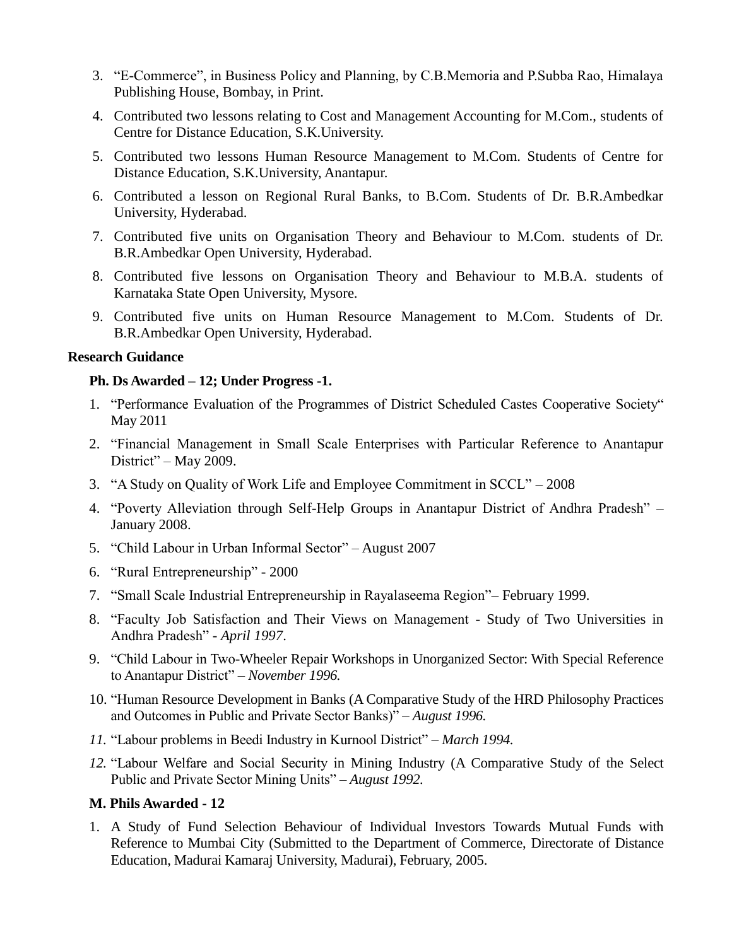- 3. "E-Commerce", in Business Policy and Planning, by C.B.Memoria and P.Subba Rao, Himalaya Publishing House, Bombay, in Print.
- 4. Contributed two lessons relating to Cost and Management Accounting for M.Com., students of Centre for Distance Education, S.K.University.
- 5. Contributed two lessons Human Resource Management to M.Com. Students of Centre for Distance Education, S.K.University, Anantapur.
- 6. Contributed a lesson on Regional Rural Banks, to B.Com. Students of Dr. B.R.Ambedkar University, Hyderabad.
- 7. Contributed five units on Organisation Theory and Behaviour to M.Com. students of Dr. B.R.Ambedkar Open University, Hyderabad.
- 8. Contributed five lessons on Organisation Theory and Behaviour to M.B.A. students of Karnataka State Open University, Mysore.
- 9. Contributed five units on Human Resource Management to M.Com. Students of Dr. B.R.Ambedkar Open University, Hyderabad.

#### **Research Guidance**

#### **Ph. Ds Awarded – 12; Under Progress -1.**

- 1. "Performance Evaluation of the Programmes of District Scheduled Castes Cooperative Society" May 2011
- 2. "Financial Management in Small Scale Enterprises with Particular Reference to Anantapur District" – May 2009.
- 3. "A Study on Quality of Work Life and Employee Commitment in SCCL" 2008
- 4. "Poverty Alleviation through Self-Help Groups in Anantapur District of Andhra Pradesh" January 2008.
- 5. "Child Labour in Urban Informal Sector" August 2007
- 6. "Rural Entrepreneurship" 2000
- 7. "Small Scale Industrial Entrepreneurship in Rayalaseema Region"– February 1999.
- 8. "Faculty Job Satisfaction and Their Views on Management Study of Two Universities in Andhra Pradesh" - *April 1997*.
- 9. "Child Labour in Two-Wheeler Repair Workshops in Unorganized Sector: With Special Reference to Anantapur District" – *November 1996.*
- 10. "Human Resource Development in Banks (A Comparative Study of the HRD Philosophy Practices and Outcomes in Public and Private Sector Banks)" – *August 1996.*
- *11.* "Labour problems in Beedi Industry in Kurnool District" *March 1994.*
- *12.* "Labour Welfare and Social Security in Mining Industry (A Comparative Study of the Select Public and Private Sector Mining Units" – *August 1992.*

#### **M. Phils Awarded - 12**

1. A Study of Fund Selection Behaviour of Individual Investors Towards Mutual Funds with Reference to Mumbai City (Submitted to the Department of Commerce, Directorate of Distance Education, Madurai Kamaraj University, Madurai), February, 2005.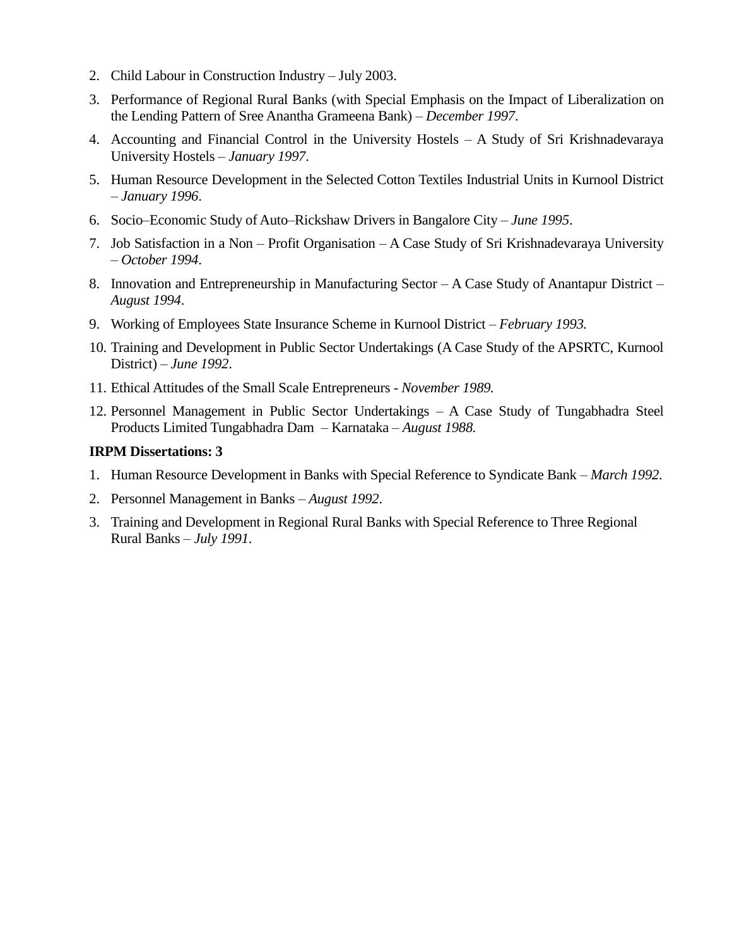- 2. Child Labour in Construction Industry July 2003.
- 3. Performance of Regional Rural Banks (with Special Emphasis on the Impact of Liberalization on the Lending Pattern of Sree Anantha Grameena Bank) – *December 1997*.
- 4. Accounting and Financial Control in the University Hostels A Study of Sri Krishnadevaraya University Hostels – *January 1997*.
- 5. Human Resource Development in the Selected Cotton Textiles Industrial Units in Kurnool District – *January 1996*.
- 6. Socio–Economic Study of Auto–Rickshaw Drivers in Bangalore City *June 1995*.
- 7. Job Satisfaction in a Non Profit Organisation A Case Study of Sri Krishnadevaraya University – *October 1994*.
- 8. Innovation and Entrepreneurship in Manufacturing Sector A Case Study of Anantapur District *August 1994*.
- 9. Working of Employees State Insurance Scheme in Kurnool District *February 1993.*
- 10. Training and Development in Public Sector Undertakings (A Case Study of the APSRTC, Kurnool District) – *June 1992*.
- 11. Ethical Attitudes of the Small Scale Entrepreneurs *November 1989.*
- 12. Personnel Management in Public Sector Undertakings A Case Study of Tungabhadra Steel Products Limited Tungabhadra Dam – Karnataka – *August 1988.*

#### **IRPM Dissertations: 3**

- 1. Human Resource Development in Banks with Special Reference to Syndicate Bank *March 1992*.
- 2. Personnel Management in Banks *August 1992*.
- 3. Training and Development in Regional Rural Banks with Special Reference to Three Regional Rural Banks – *July 1991*.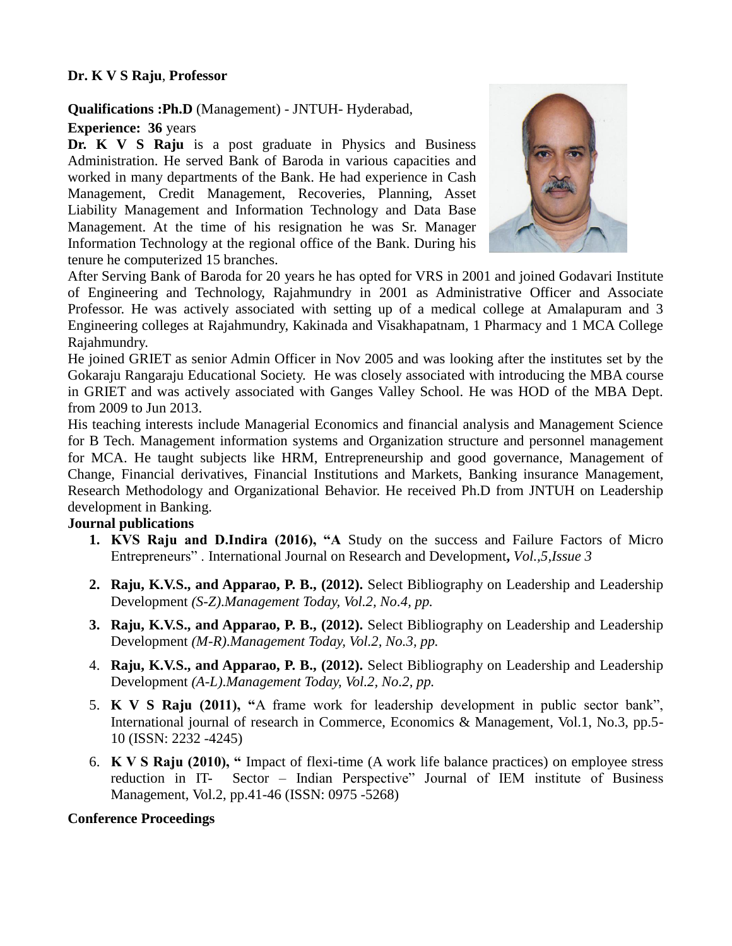## **Dr. K V S Raju**, **Professor**

## **Qualifications :Ph.D** (Management) - JNTUH- Hyderabad,

## **Experience: 36** years

**Dr. K V S Raju** is a post graduate in Physics and Business Administration. He served Bank of Baroda in various capacities and worked in many departments of the Bank. He had experience in Cash Management, Credit Management, Recoveries, Planning, Asset Liability Management and Information Technology and Data Base Management. At the time of his resignation he was Sr. Manager Information Technology at the regional office of the Bank. During his tenure he computerized 15 branches.



After Serving Bank of Baroda for 20 years he has opted for VRS in 2001 and joined Godavari Institute of Engineering and Technology, Rajahmundry in 2001 as Administrative Officer and Associate Professor. He was actively associated with setting up of a medical college at Amalapuram and 3 Engineering colleges at Rajahmundry, Kakinada and Visakhapatnam, 1 Pharmacy and 1 MCA College Rajahmundry.

He joined GRIET as senior Admin Officer in Nov 2005 and was looking after the institutes set by the Gokaraju Rangaraju Educational Society. He was closely associated with introducing the MBA course in GRIET and was actively associated with Ganges Valley School. He was HOD of the MBA Dept. from 2009 to Jun 2013.

His teaching interests include Managerial Economics and financial analysis and Management Science for B Tech. Management information systems and Organization structure and personnel management for MCA. He taught subjects like HRM, Entrepreneurship and good governance, Management of Change, Financial derivatives, Financial Institutions and Markets, Banking insurance Management, Research Methodology and Organizational Behavior. He received Ph.D from JNTUH on Leadership development in Banking.

## **Journal publications**

- **1. KVS Raju and D.Indira (2016), "A** Study on the success and Failure Factors of Micro Entrepreneurs" . International Journal on Research and Development**,** *Vol.,5,Issue 3*
- **2. Raju, K.V.S., and Apparao, P. B., (2012).** Select Bibliography on Leadership and Leadership Development *(S-Z)*.*Management Today, Vol.2, No.4, pp.*
- **3. Raju, K.V.S., and Apparao, P. B., (2012).** Select Bibliography on Leadership and Leadership Development *(M-R)*.*Management Today, Vol.2, No.3, pp.*
- 4. **Raju, K.V.S., and Apparao, P. B., (2012).** Select Bibliography on Leadership and Leadership Development *(A-L)*.*Management Today, Vol.2, No.2, pp.*
- 5. **K V S Raju (2011), "**A frame work for leadership development in public sector bank", International journal of research in Commerce, Economics & Management, Vol.1, No.3, pp.5- 10 (ISSN: 2232 -4245)
- 6. **K V S Raju (2010), "** Impact of flexi-time (A work life balance practices) on employee stress reduction in IT- Sector – Indian Perspective" Journal of IEM institute of Business Management, Vol.2, pp.41-46 (ISSN: 0975 -5268)

# **Conference Proceedings**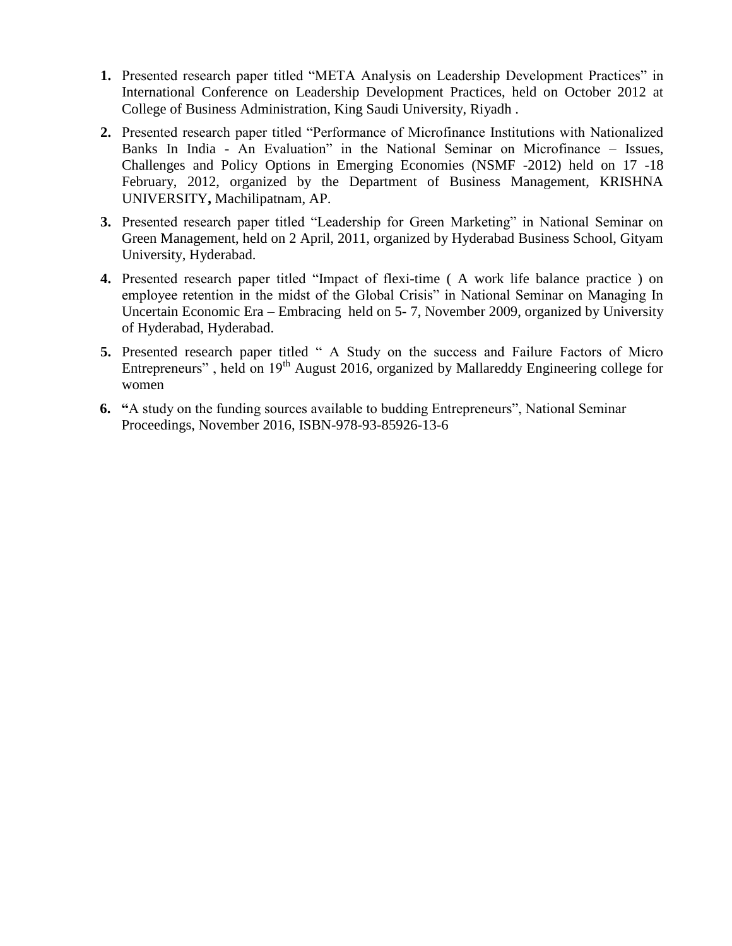- **1.** Presented research paper titled "META Analysis on Leadership Development Practices" in International Conference on Leadership Development Practices, held on October 2012 at College of Business Administration, King Saudi University, Riyadh .
- **2.** Presented research paper titled "Performance of Microfinance Institutions with Nationalized Banks In India - An Evaluation" in the National Seminar on Microfinance – Issues, Challenges and Policy Options in Emerging Economies (NSMF -2012) held on 17 -18 February, 2012, organized by the Department of Business Management, KRISHNA UNIVERSITY**,** Machilipatnam, AP.
- **3.** Presented research paper titled "Leadership for Green Marketing" in National Seminar on Green Management, held on 2 April, 2011, organized by Hyderabad Business School, Gityam University, Hyderabad.
- **4.** Presented research paper titled "Impact of flexi-time ( A work life balance practice ) on employee retention in the midst of the Global Crisis" in National Seminar on Managing In Uncertain Economic Era – Embracing held on 5- 7, November 2009, organized by University of Hyderabad, Hyderabad.
- **5.** Presented research paper titled " A Study on the success and Failure Factors of Micro Entrepreneurs", held on  $19<sup>th</sup>$  August 2016, organized by Mallareddy Engineering college for women
- **6. "**A study on the funding sources available to budding Entrepreneurs", National Seminar Proceedings, November 2016, ISBN-978-93-85926-13-6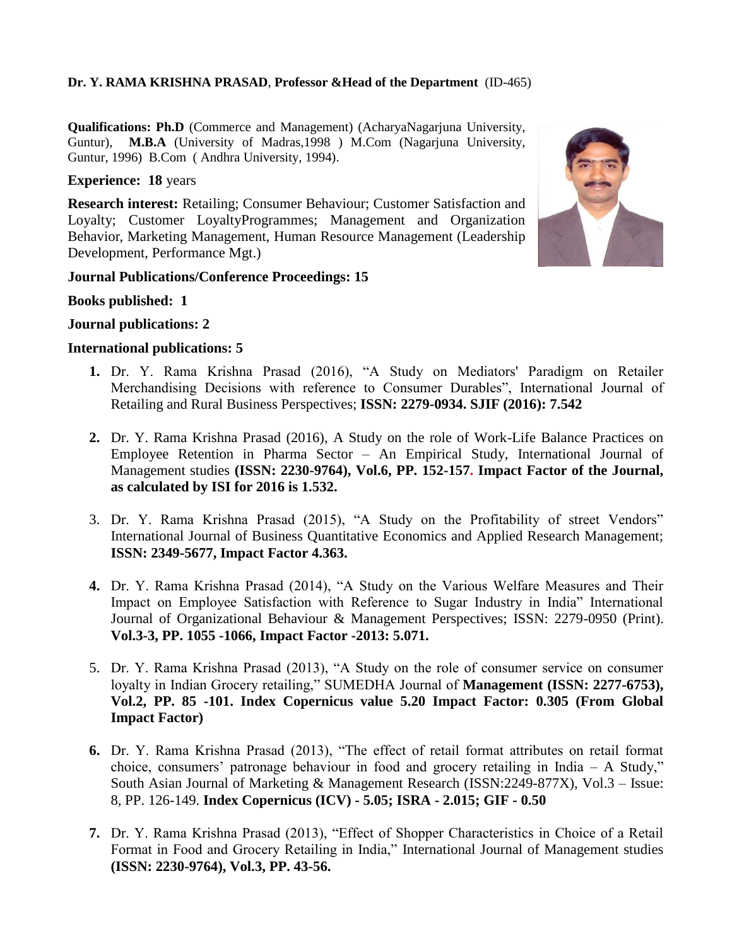## **Dr. Y. RAMA KRISHNA PRASAD**, **Professor &Head of the Department** (ID-465)

**Qualifications: Ph.D** (Commerce and Management) (AcharyaNagarjuna University, Guntur), **M.B.A** (University of Madras,1998 ) M.Com (Nagarjuna University, Guntur, 1996) B.Com ( Andhra University, 1994).

#### **Experience: 18** years

**Research interest:** Retailing; Consumer Behaviour; Customer Satisfaction and Loyalty; Customer LoyaltyProgrammes; Management and Organization Behavior, Marketing Management, Human Resource Management (Leadership Development, Performance Mgt.)



#### **Journal Publications/Conference Proceedings: 15**

**Books published: 1**

#### **Journal publications: 2**

#### **International publications: 5**

- **1.** Dr. Y. Rama Krishna Prasad (2016), "A Study on Mediators' Paradigm on Retailer Merchandising Decisions with reference to Consumer Durables", International Journal of Retailing and Rural Business Perspectives; **ISSN: 2279-0934. SJIF (2016): 7.542**
- **2.** Dr. Y. Rama Krishna Prasad (2016), A Study on the role of Work-Life Balance Practices on Employee Retention in Pharma Sector – An Empirical Study, International Journal of Management studies **(ISSN: 2230-9764), Vol.6, PP. 152-157. Impact Factor of the Journal, as calculated by ISI for 2016 is 1.532.**
- 3. Dr. Y. Rama Krishna Prasad (2015), "A Study on the Profitability of street Vendors" International Journal of Business Quantitative Economics and Applied Research Management; **ISSN: 2349-5677, Impact Factor 4.363.**
- **4.** Dr. Y. Rama Krishna Prasad (2014), "A Study on the Various Welfare Measures and Their Impact on Employee Satisfaction with Reference to Sugar Industry in India" International Journal of Organizational Behaviour & Management Perspectives; ISSN: 2279-0950 (Print). **Vol.3-3, PP. 1055 -1066, Impact Factor -2013: 5.071.**
- 5. Dr. Y. Rama Krishna Prasad (2013), "A Study on the role of consumer service on consumer loyalty in Indian Grocery retailing," SUMEDHA Journal of **Management (ISSN: 2277-6753)**, **Vol.2, PP. 85 -101. Index Copernicus value 5.20 Impact Factor: 0.305 (From Global Impact Factor)**
- **6.** Dr. Y. Rama Krishna Prasad (2013), "The effect of retail format attributes on retail format choice, consumers' patronage behaviour in food and grocery retailing in India  $- A$  Study," South Asian Journal of Marketing & Management Research (ISSN:2249-877X), Vol.3 – Issue: 8, PP. 126-149. **Index Copernicus (ICV) - 5.05; ISRA - 2.015; GIF - 0.50**
- **7.** Dr. Y. Rama Krishna Prasad (2013), "Effect of Shopper Characteristics in Choice of a Retail Format in Food and Grocery Retailing in India," International Journal of Management studies **(ISSN: 2230-9764), Vol.3, PP. 43-56.**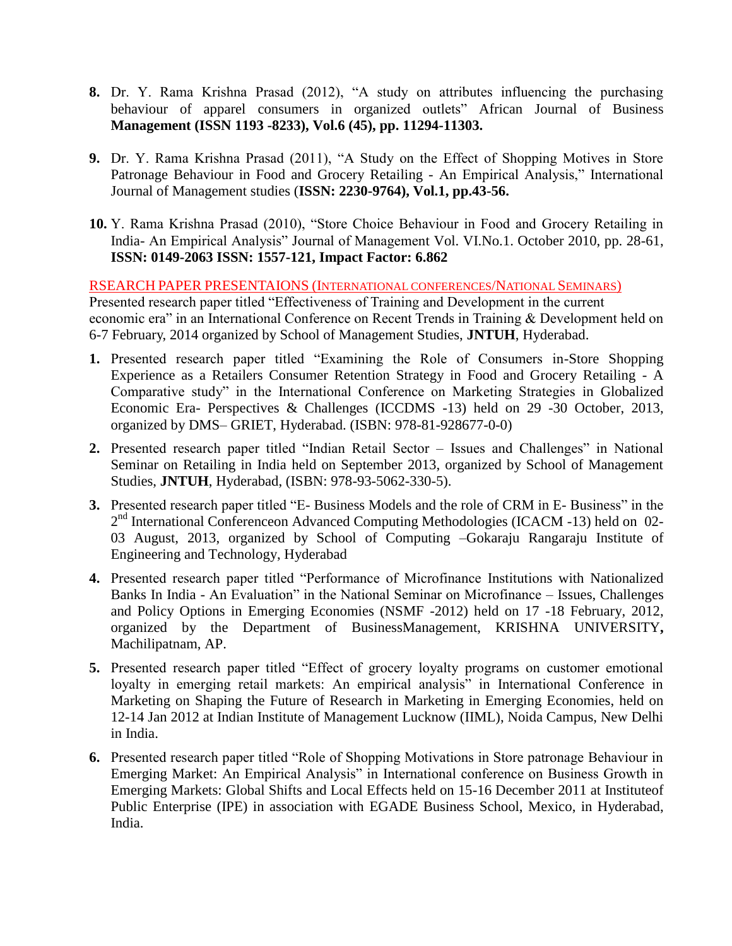- **8.** Dr. Y. Rama Krishna Prasad (2012), "A study on attributes influencing the purchasing behaviour of apparel consumers in organized outlets" African Journal of Business **Management (ISSN 1193 -8233), Vol.6 (45), pp. 11294-11303.**
- **9.** Dr. Y. Rama Krishna Prasad (2011), "A Study on the Effect of Shopping Motives in Store Patronage Behaviour in Food and Grocery Retailing - An Empirical Analysis," International Journal of Management studies (**ISSN: 2230-9764), Vol.1, pp.43-56.**
- **10.** Y. Rama Krishna Prasad (2010), "Store Choice Behaviour in Food and Grocery Retailing in India- An Empirical Analysis" Journal of Management Vol. VI.No.1. October 2010, pp. 28-61, **ISSN: 0149-2063 ISSN: 1557-121, Impact Factor: 6.862**

RSEARCH PAPER PRESENTAIONS (INTERNATIONAL CONFERENCES/NATIONAL SEMINARS)

Presented research paper titled "Effectiveness of Training and Development in the current economic era" in an International Conference on Recent Trends in Training & Development held on 6-7 February, 2014 organized by School of Management Studies, **JNTUH**, Hyderabad.

- **1.** Presented research paper titled "Examining the Role of Consumers in-Store Shopping Experience as a Retailers Consumer Retention Strategy in Food and Grocery Retailing - A Comparative study" in the International Conference on Marketing Strategies in Globalized Economic Era- Perspectives & Challenges (ICCDMS -13) held on 29 -30 October, 2013, organized by DMS– GRIET, Hyderabad. (ISBN: 978-81-928677-0-0)
- **2.** Presented research paper titled "Indian Retail Sector Issues and Challenges" in National Seminar on Retailing in India held on September 2013, organized by School of Management Studies, **JNTUH**, Hyderabad, (ISBN: 978-93-5062-330-5).
- **3.** Presented research paper titled "E- Business Models and the role of CRM in E- Business" in the 2<sup>nd</sup> International Conferenceon Advanced Computing Methodologies (ICACM -13) held on 02-03 August, 2013, organized by School of Computing –Gokaraju Rangaraju Institute of Engineering and Technology, Hyderabad
- **4.** Presented research paper titled "Performance of Microfinance Institutions with Nationalized Banks In India - An Evaluation" in the National Seminar on Microfinance – Issues, Challenges and Policy Options in Emerging Economies (NSMF -2012) held on 17 -18 February, 2012, organized by the Department of BusinessManagement, KRISHNA UNIVERSITY**,**  Machilipatnam, AP.
- **5.** Presented research paper titled "Effect of grocery loyalty programs on customer emotional loyalty in emerging retail markets: An empirical analysis" in International Conference in Marketing on Shaping the Future of Research in Marketing in Emerging Economies, held on 12-14 Jan 2012 at Indian Institute of Management Lucknow (IIML), Noida Campus, New Delhi in India.
- **6.** Presented research paper titled "Role of Shopping Motivations in Store patronage Behaviour in Emerging Market: An Empirical Analysis" in International conference on Business Growth in Emerging Markets: Global Shifts and Local Effects held on 15-16 December 2011 at Instituteof Public Enterprise (IPE) in association with EGADE Business School, Mexico, in Hyderabad, India.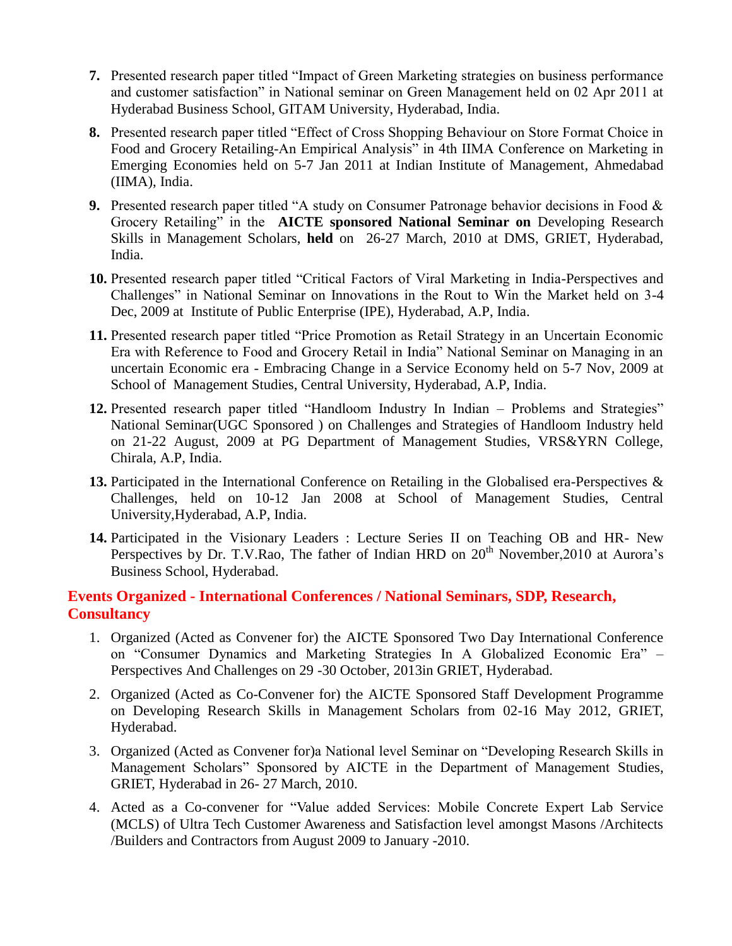- **7.** Presented research paper titled "Impact of Green Marketing strategies on business performance and customer satisfaction" in National seminar on Green Management held on 02 Apr 2011 at Hyderabad Business School, GITAM University, Hyderabad, India.
- **8.** Presented research paper titled "Effect of Cross Shopping Behaviour on Store Format Choice in Food and Grocery Retailing-An Empirical Analysis" in 4th IIMA Conference on Marketing in Emerging Economies held on 5-7 Jan 2011 at Indian Institute of Management, Ahmedabad (IIMA), India.
- **9.** Presented research paper titled "A study on Consumer Patronage behavior decisions in Food & Grocery Retailing" in the **AICTE sponsored National Seminar on** Developing Research Skills in Management Scholars, **held** on 26-27 March, 2010 at DMS, GRIET, Hyderabad, India.
- **10.** Presented research paper titled "Critical Factors of Viral Marketing in India-Perspectives and Challenges" in National Seminar on Innovations in the Rout to Win the Market held on 3-4 Dec, 2009 at Institute of Public Enterprise (IPE), Hyderabad, A.P, India.
- **11.** Presented research paper titled "Price Promotion as Retail Strategy in an Uncertain Economic Era with Reference to Food and Grocery Retail in India" National Seminar on Managing in an uncertain Economic era - Embracing Change in a Service Economy held on 5-7 Nov, 2009 at School of Management Studies, Central University, Hyderabad, A.P, India.
- **12.** Presented research paper titled "Handloom Industry In Indian Problems and Strategies" National Seminar(UGC Sponsored ) on Challenges and Strategies of Handloom Industry held on 21-22 August, 2009 at PG Department of Management Studies, VRS&YRN College, Chirala, A.P, India.
- **13.** Participated in the International Conference on Retailing in the Globalised era-Perspectives & Challenges, held on 10-12 Jan 2008 at School of Management Studies, Central University,Hyderabad, A.P, India.
- **14.** Participated in the Visionary Leaders : Lecture Series II on Teaching OB and HR- New Perspectives by Dr. T.V.Rao, The father of Indian HRD on 20<sup>th</sup> November, 2010 at Aurora's Business School, Hyderabad.

# **Events Organized - International Conferences / National Seminars, SDP, Research, Consultancy**

- 1. Organized (Acted as Convener for) the AICTE Sponsored Two Day International Conference on "Consumer Dynamics and Marketing Strategies In A Globalized Economic Era" – Perspectives And Challenges on 29 -30 October, 2013in GRIET, Hyderabad.
- 2. Organized (Acted as Co-Convener for) the AICTE Sponsored Staff Development Programme on Developing Research Skills in Management Scholars from 02-16 May 2012, GRIET, Hyderabad.
- 3. Organized (Acted as Convener for)a National level Seminar on "Developing Research Skills in Management Scholars" Sponsored by AICTE in the Department of Management Studies, GRIET, Hyderabad in 26- 27 March, 2010.
- 4. Acted as a Co-convener for "Value added Services: Mobile Concrete Expert Lab Service (MCLS) of Ultra Tech Customer Awareness and Satisfaction level amongst Masons /Architects /Builders and Contractors from August 2009 to January -2010.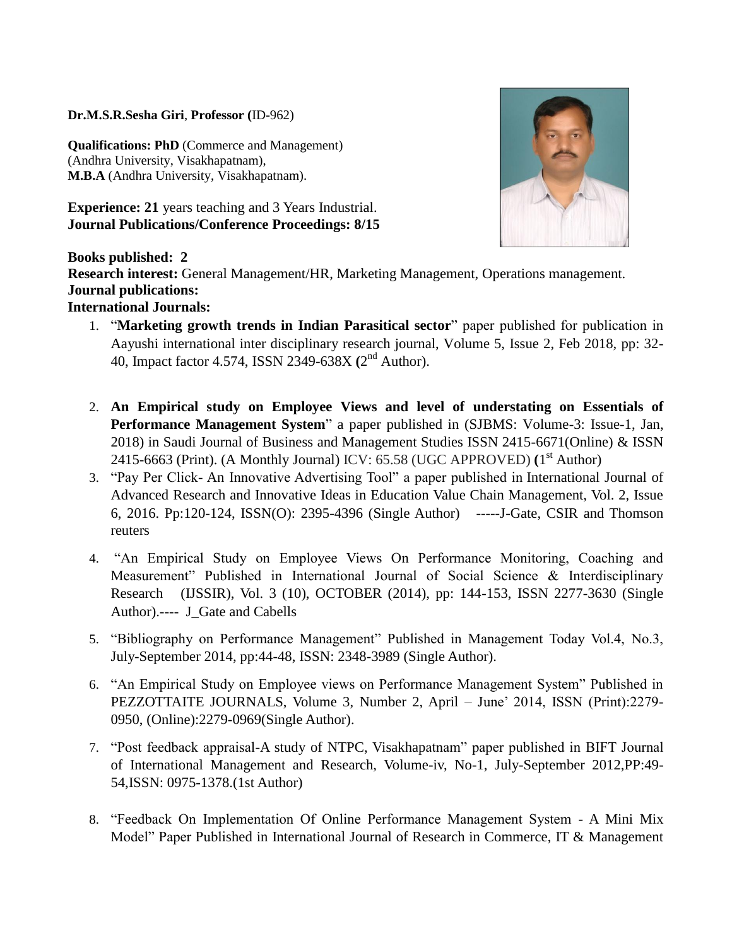**Dr.M.S.R.Sesha Giri**, **Professor (**ID-962)

**Qualifications: PhD** (Commerce and Management) (Andhra University, Visakhapatnam), **M.B.A** (Andhra University, Visakhapatnam).

**Experience: 21** years teaching and 3 Years Industrial. **Journal Publications/Conference Proceedings: 8/15**



**Books published: 2**

**Research interest:** General Management/HR, Marketing Management, Operations management. **Journal publications:**

# **International Journals:**

- 1. "**Marketing growth trends in Indian Parasitical sector**" paper published for publication in Aayushi international inter disciplinary research journal, Volume 5, Issue 2, Feb 2018, pp: 32- 40, Impact factor 4.574, ISSN 2349-638X **(**2 nd Author).
- 2. **An Empirical study on Employee Views and level of understating on Essentials of Performance Management System**" a paper published in (SJBMS: Volume-3: Issue-1, Jan, 2018) in Saudi Journal of Business and Management Studies ISSN 2415-6671(Online) & ISSN 2415-6663 (Print). (A Monthly Journal) ICV: 65.58 (UGC APPROVED) **(**1 st Author)
- 3. "Pay Per Click- An Innovative Advertising Tool" a paper published in International Journal of Advanced Research and Innovative Ideas in Education Value Chain Management, Vol. 2, Issue 6, 2016. Pp:120-124, ISSN(O): 2395-4396 (Single Author) -----J-Gate, CSIR and Thomson reuters
- 4. "An Empirical Study on Employee Views On Performance Monitoring, Coaching and Measurement" Published in International Journal of Social Science & Interdisciplinary Research (IJSSIR), Vol. 3 (10), OCTOBER (2014), pp: 144-153, ISSN 2277-3630 (Single Author).---- J\_Gate and Cabells
- 5. "Bibliography on Performance Management" Published in Management Today Vol.4, No.3, July-September 2014, pp:44-48, ISSN: 2348-3989 (Single Author).
- 6. "An Empirical Study on Employee views on Performance Management System" Published in PEZZOTTAITE JOURNALS, Volume 3, Number 2, April – June" 2014, ISSN (Print):2279- 0950, (Online):2279-0969(Single Author).
- 7. "Post feedback appraisal-A study of NTPC, Visakhapatnam" paper published in BIFT Journal of International Management and Research, Volume-iv, No-1, July-September 2012,PP:49- 54,ISSN: 0975-1378.(1st Author)
- 8. "Feedback On Implementation Of Online Performance Management System A Mini Mix Model" Paper Published in International Journal of Research in Commerce, IT & Management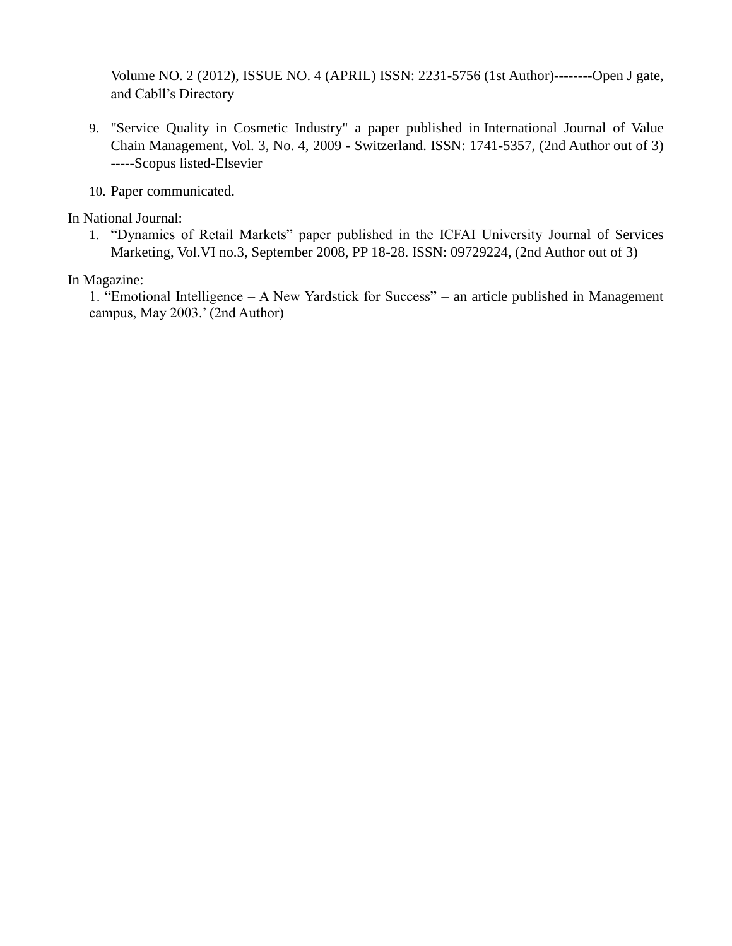Volume NO. 2 (2012), ISSUE NO. 4 (APRIL) ISSN: 2231-5756 (1st Author)--------Open J gate, and Cabll"s Directory

- 9. "Service Quality in Cosmetic Industry" a paper published in International Journal of Value Chain Management, Vol. 3, No. 4, 2009 - Switzerland. ISSN: 1741-5357, (2nd Author out of 3) -----Scopus listed-Elsevier
- 10. Paper communicated.

In National Journal:

1. "Dynamics of Retail Markets" paper published in the ICFAI University Journal of Services Marketing, Vol.VI no.3, September 2008, PP 18-28. ISSN: 09729224, (2nd Author out of 3)

In Magazine:

1. "Emotional Intelligence – A New Yardstick for Success" – an article published in Management campus, May 2003." (2nd Author)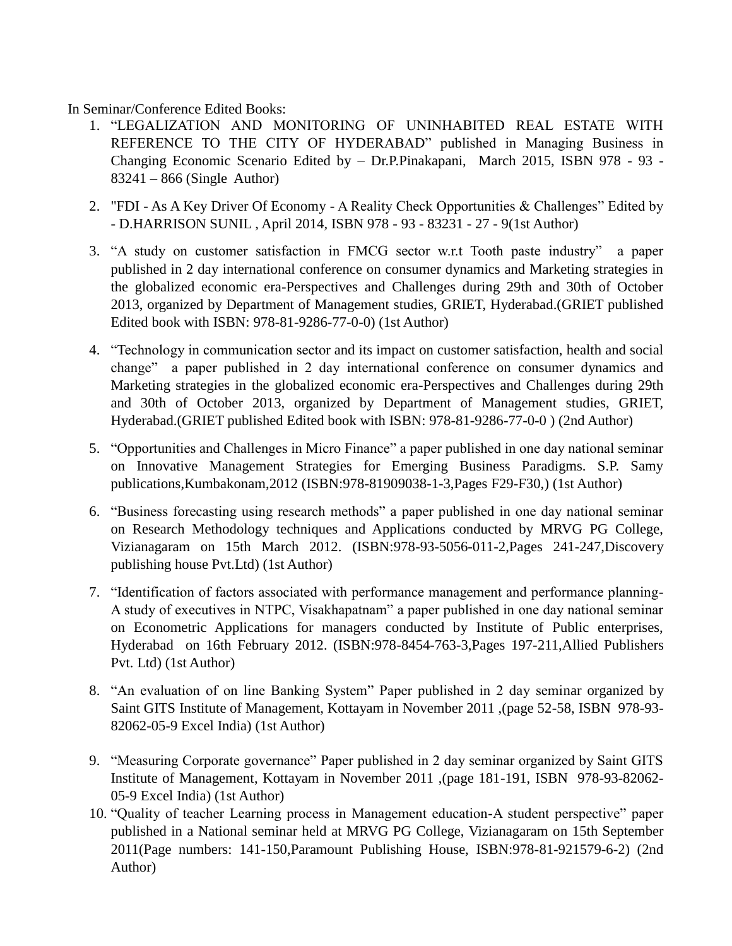In Seminar/Conference Edited Books:

- 1. "LEGALIZATION AND MONITORING OF UNINHABITED REAL ESTATE WITH REFERENCE TO THE CITY OF HYDERABAD" published in Managing Business in Changing Economic Scenario Edited by – Dr.P.Pinakapani, March 2015, ISBN 978 - 93 - 83241 – 866 (Single Author)
- 2. "FDI As A Key Driver Of Economy A Reality Check Opportunities & Challenges" Edited by - D.HARRISON SUNIL , April 2014, ISBN 978 - 93 - 83231 - 27 - 9(1st Author)
- 3. "A study on customer satisfaction in FMCG sector w.r.t Tooth paste industry" a paper published in 2 day international conference on consumer dynamics and Marketing strategies in the globalized economic era-Perspectives and Challenges during 29th and 30th of October 2013, organized by Department of Management studies, GRIET, Hyderabad.(GRIET published Edited book with ISBN: 978-81-9286-77-0-0) (1st Author)
- 4. "Technology in communication sector and its impact on customer satisfaction, health and social change" a paper published in 2 day international conference on consumer dynamics and Marketing strategies in the globalized economic era-Perspectives and Challenges during 29th and 30th of October 2013, organized by Department of Management studies, GRIET, Hyderabad.(GRIET published Edited book with ISBN: 978-81-9286-77-0-0 ) (2nd Author)
- 5. "Opportunities and Challenges in Micro Finance" a paper published in one day national seminar on Innovative Management Strategies for Emerging Business Paradigms. S.P. Samy publications,Kumbakonam,2012 (ISBN:978-81909038-1-3,Pages F29-F30,) (1st Author)
- 6. "Business forecasting using research methods" a paper published in one day national seminar on Research Methodology techniques and Applications conducted by MRVG PG College, Vizianagaram on 15th March 2012. (ISBN:978-93-5056-011-2,Pages 241-247,Discovery publishing house Pvt.Ltd) (1st Author)
- 7. "Identification of factors associated with performance management and performance planning-A study of executives in NTPC, Visakhapatnam" a paper published in one day national seminar on Econometric Applications for managers conducted by Institute of Public enterprises, Hyderabad on 16th February 2012. (ISBN:978-8454-763-3,Pages 197-211,Allied Publishers Pvt. Ltd) (1st Author)
- 8. "An evaluation of on line Banking System" Paper published in 2 day seminar organized by Saint GITS Institute of Management, Kottayam in November 2011 ,(page 52-58, ISBN 978-93- 82062-05-9 Excel India) (1st Author)
- 9. "Measuring Corporate governance" Paper published in 2 day seminar organized by Saint GITS Institute of Management, Kottayam in November 2011 ,(page 181-191, ISBN 978-93-82062- 05-9 Excel India) (1st Author)
- 10. "Quality of teacher Learning process in Management education-A student perspective" paper published in a National seminar held at MRVG PG College, Vizianagaram on 15th September 2011(Page numbers: 141-150,Paramount Publishing House, ISBN:978-81-921579-6-2) (2nd Author)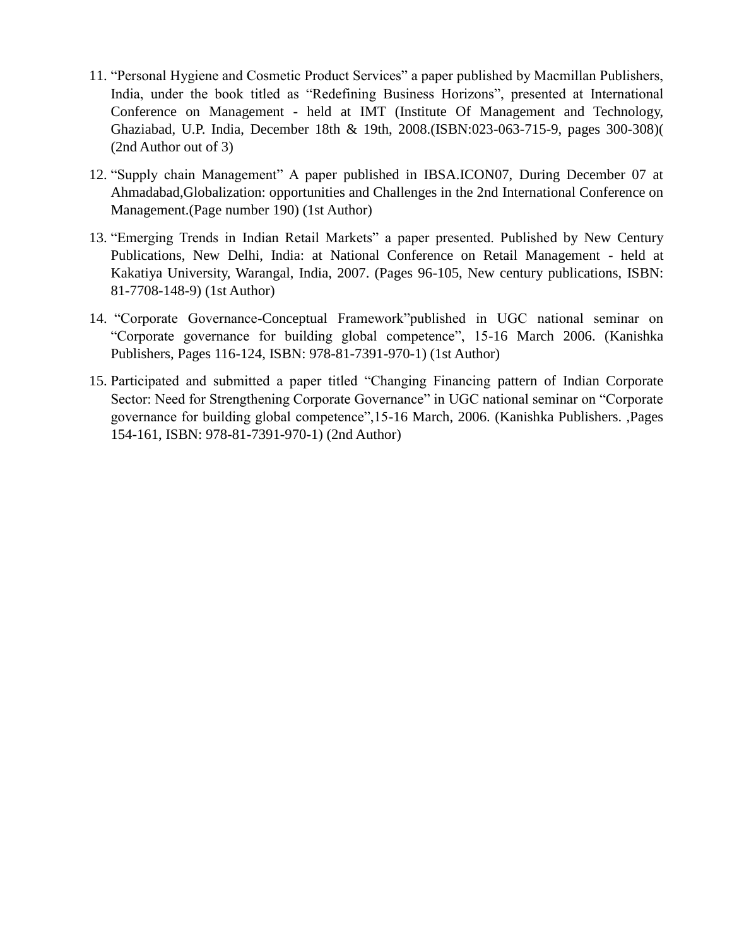- 11. "Personal Hygiene and Cosmetic Product Services" a paper published by Macmillan Publishers, India, under the book titled as "Redefining Business Horizons", presented at International Conference on Management - held at IMT (Institute Of Management and Technology, Ghaziabad, U.P. India, December 18th & 19th, 2008.(ISBN:023-063-715-9, pages 300-308)( (2nd Author out of 3)
- 12. "Supply chain Management" A paper published in IBSA.ICON07, During December 07 at Ahmadabad,Globalization: opportunities and Challenges in the 2nd International Conference on Management.(Page number 190) (1st Author)
- 13. "Emerging Trends in Indian Retail Markets" a paper presented. Published by New Century Publications, New Delhi, India: at National Conference on Retail Management - held at Kakatiya University, Warangal, India, 2007. (Pages 96-105, New century publications, ISBN: 81-7708-148-9) (1st Author)
- 14. "Corporate Governance-Conceptual Framework"published in UGC national seminar on "Corporate governance for building global competence", 15-16 March 2006. (Kanishka Publishers, Pages 116-124, ISBN: 978-81-7391-970-1) (1st Author)
- 15. Participated and submitted a paper titled "Changing Financing pattern of Indian Corporate Sector: Need for Strengthening Corporate Governance" in UGC national seminar on "Corporate governance for building global competence",15-16 March, 2006. (Kanishka Publishers. ,Pages 154-161, ISBN: 978-81-7391-970-1) (2nd Author)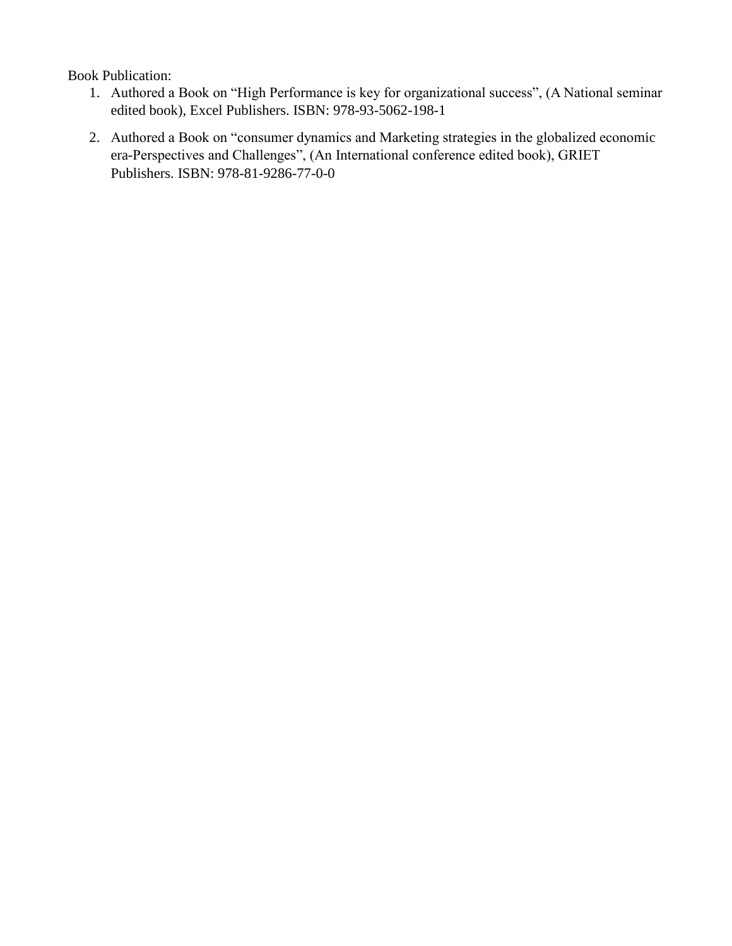Book Publication:

- 1. Authored a Book on "High Performance is key for organizational success", (A National seminar edited book), Excel Publishers. ISBN: 978-93-5062-198-1
- 2. Authored a Book on "consumer dynamics and Marketing strategies in the globalized economic era-Perspectives and Challenges", (An International conference edited book), GRIET Publishers. ISBN: 978-81-9286-77-0-0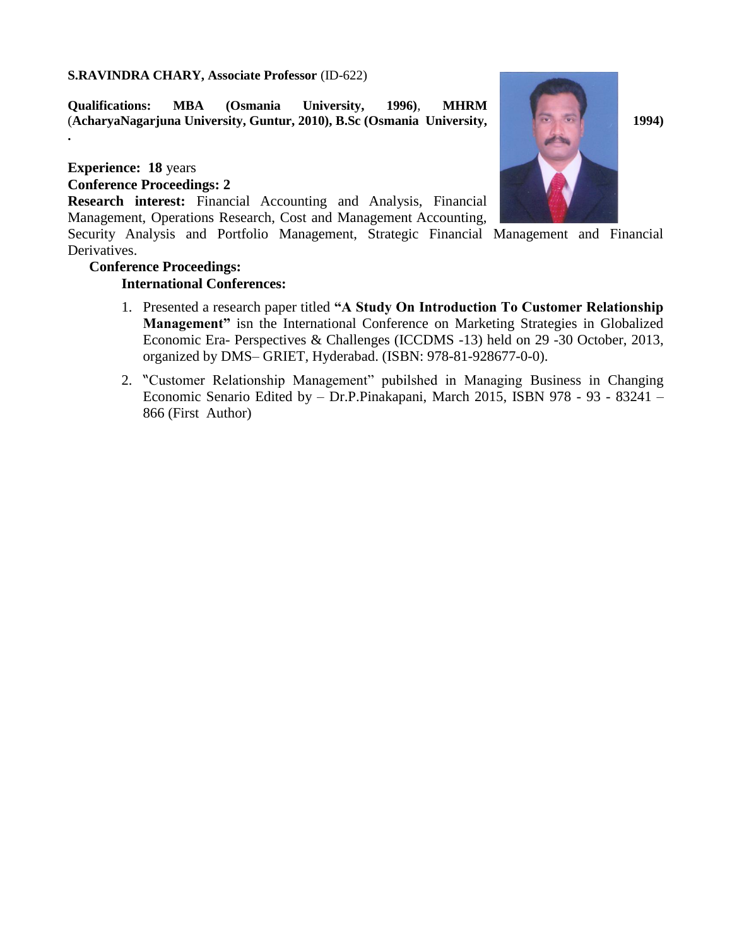#### **S.RAVINDRA CHARY, Associate Professor** (ID-622)

**Qualifications: MBA (Osmania University, 1996)**, **MHRM** (**AcharyaNagarjuna University, Guntur, 2010), B.Sc (Osmania University, 1994)** 

## **Experience: 18** years

**.**

#### **Conference Proceedings: 2**

**Research interest:** Financial Accounting and Analysis, Financial Management, Operations Research, Cost and Management Accounting,

Security Analysis and Portfolio Management, Strategic Financial Management and Financial Derivatives.

# **Conference Proceedings:**

## **International Conferences:**



- 1. Presented a research paper titled **"A Study On Introduction To Customer Relationship Management"** isn the International Conference on Marketing Strategies in Globalized Economic Era- Perspectives & Challenges (ICCDMS -13) held on 29 -30 October, 2013, organized by DMS– GRIET, Hyderabad. (ISBN: 978-81-928677-0-0).
- 2. "Customer Relationship Management" pubilshed in Managing Business in Changing Economic Senario Edited by – Dr.P.Pinakapani, March 2015, ISBN 978 - 93 - 83241 – 866 (First Author)

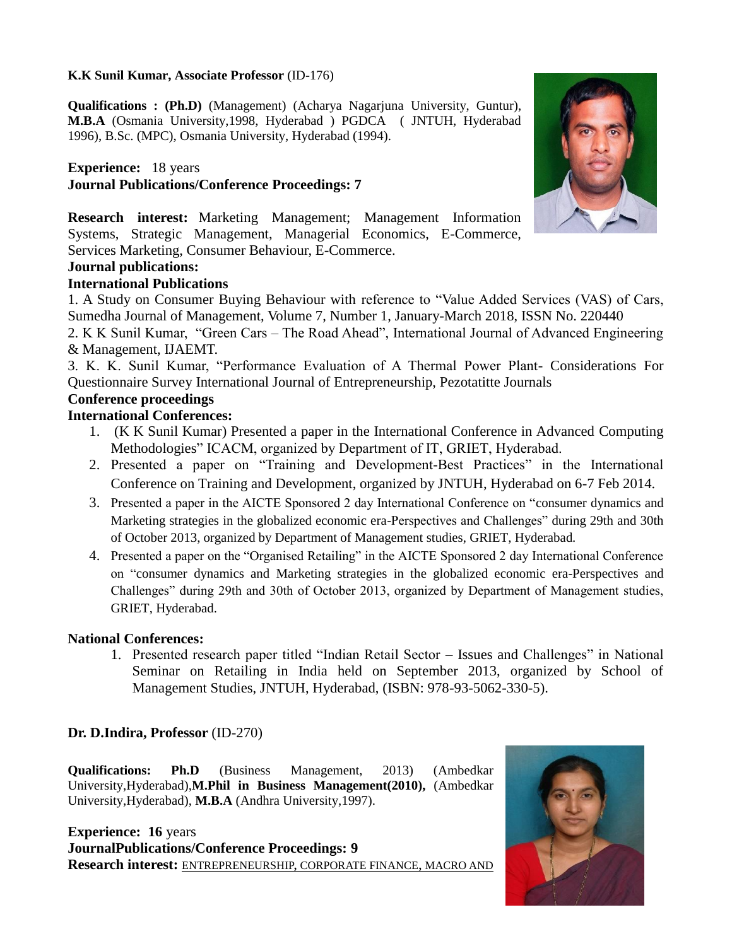#### **K.K Sunil Kumar, Associate Professor** (ID-176)

**Qualifications : (Ph.D)** (Management) (Acharya Nagarjuna University, Guntur), **M.B.A** (Osmania University,1998, Hyderabad ) PGDCA ( JNTUH, Hyderabad 1996), B.Sc. (MPC), Osmania University, Hyderabad (1994).

# **Experience:** 18 years **Journal Publications/Conference Proceedings: 7**



**Research interest:** Marketing Management; Management Information Systems, Strategic Management, Managerial Economics, E-Commerce, Services Marketing, Consumer Behaviour, E-Commerce.

# **Journal publications:**

## **International Publications**

1. A Study on Consumer Buying Behaviour with reference to "Value Added Services (VAS) of Cars, Sumedha Journal of Management, Volume 7, Number 1, January-March 2018, ISSN No. 220440

2. K K Sunil Kumar, "Green Cars – The Road Ahead", International Journal of Advanced Engineering & Management, IJAEMT.

3. K. K. Sunil Kumar, "Performance Evaluation of A Thermal Power Plant- Considerations For Questionnaire Survey International Journal of Entrepreneurship, Pezotatitte Journals

## **Conference proceedings**

## **International Conferences:**

- 1. (K K Sunil Kumar) Presented a paper in the International Conference in Advanced Computing Methodologies" ICACM, organized by Department of IT, GRIET, Hyderabad.
- 2. Presented a paper on "Training and Development-Best Practices" in the International Conference on Training and Development, organized by JNTUH, Hyderabad on 6-7 Feb 2014.
- 3. Presented a paper in the AICTE Sponsored 2 day International Conference on "consumer dynamics and Marketing strategies in the globalized economic era-Perspectives and Challenges" during 29th and 30th of October 2013, organized by Department of Management studies, GRIET, Hyderabad.
- 4. Presented a paper on the "Organised Retailing" in the AICTE Sponsored 2 day International Conference on "consumer dynamics and Marketing strategies in the globalized economic era-Perspectives and Challenges" during 29th and 30th of October 2013, organized by Department of Management studies, GRIET, Hyderabad.

#### **National Conferences:**

1. Presented research paper titled "Indian Retail Sector – Issues and Challenges" in National Seminar on Retailing in India held on September 2013, organized by School of Management Studies, JNTUH, Hyderabad, (ISBN: 978-93-5062-330-5).

# **Dr. D.Indira, Professor** (ID-270)

**Qualifications: Ph.D** (Business Management, 2013) (Ambedkar University,Hyderabad),**M.Phil in Business Management(2010),** (Ambedkar University,Hyderabad), **M.B.A** (Andhra University,1997).

**Experience: 16** years **JournalPublications/Conference Proceedings: 9 Research interest:** ENTREPRENEURSHIP, CORPORATE FINANCE, MACRO AND

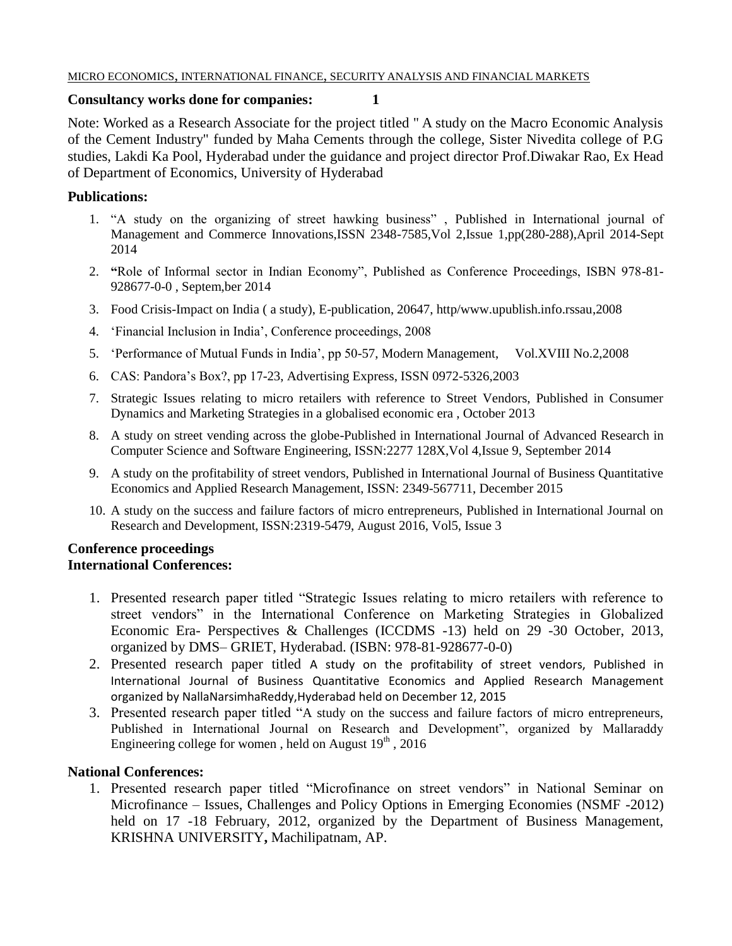#### MICRO ECONOMICS, INTERNATIONAL FINANCE, SECURITY ANALYSIS AND FINANCIAL MARKETS

#### **Consultancy works done for companies: 1**

Note: Worked as a Research Associate for the project titled " A study on the Macro Economic Analysis of the Cement Industry" funded by Maha Cements through the college, Sister Nivedita college of P.G studies, Lakdi Ka Pool, Hyderabad under the guidance and project director Prof.Diwakar Rao, Ex Head of Department of Economics, University of Hyderabad

## **Publications:**

- 1. "A study on the organizing of street hawking business" , Published in International journal of Management and Commerce Innovations,ISSN 2348-7585,Vol 2,Issue 1,pp(280-288),April 2014-Sept 2014
- 2. **"**Role of Informal sector in Indian Economy", Published as Conference Proceedings, ISBN 978-81- 928677-0-0 , Septem,ber 2014
- 3. Food Crisis-Impact on India ( a study), E-publication, 20647, http/www.upublish.info.rssau,2008
- 4. "Financial Inclusion in India", Conference proceedings, 2008
- 5. "Performance of Mutual Funds in India", pp 50-57, Modern Management, Vol.XVIII No.2,2008
- 6. CAS: Pandora"s Box?, pp 17-23, Advertising Express, ISSN 0972-5326,2003
- 7. Strategic Issues relating to micro retailers with reference to Street Vendors, Published in Consumer Dynamics and Marketing Strategies in a globalised economic era , October 2013
- 8. A study on street vending across the globe-Published in International Journal of Advanced Research in Computer Science and Software Engineering, ISSN:2277 128X,Vol 4,Issue 9, September 2014
- 9. A study on the profitability of street vendors, Published in International Journal of Business Quantitative Economics and Applied Research Management, ISSN: 2349-567711, December 2015
- 10. A study on the success and failure factors of micro entrepreneurs, Published in International Journal on Research and Development, ISSN:2319-5479, August 2016, Vol5, Issue 3

#### **Conference proceedings International Conferences:**

- 1. Presented research paper titled "Strategic Issues relating to micro retailers with reference to street vendors" in the International Conference on Marketing Strategies in Globalized Economic Era- Perspectives & Challenges (ICCDMS -13) held on 29 -30 October, 2013, organized by DMS– GRIET, Hyderabad. (ISBN: 978-81-928677-0-0)
- 2. Presented research paper titled A study on the profitability of street vendors, Published in International Journal of Business Quantitative Economics and Applied Research Management organized by NallaNarsimhaReddy,Hyderabad held on December 12, 2015
- 3. Presented research paper titled "A study on the success and failure factors of micro entrepreneurs, Published in International Journal on Research and Development", organized by Mallaraddy Engineering college for women, held on August  $19<sup>th</sup>$ , 2016

# **National Conferences:**

1. Presented research paper titled "Microfinance on street vendors" in National Seminar on Microfinance – Issues, Challenges and Policy Options in Emerging Economies (NSMF -2012) held on 17 -18 February, 2012, organized by the Department of Business Management, KRISHNA UNIVERSITY**,** Machilipatnam, AP.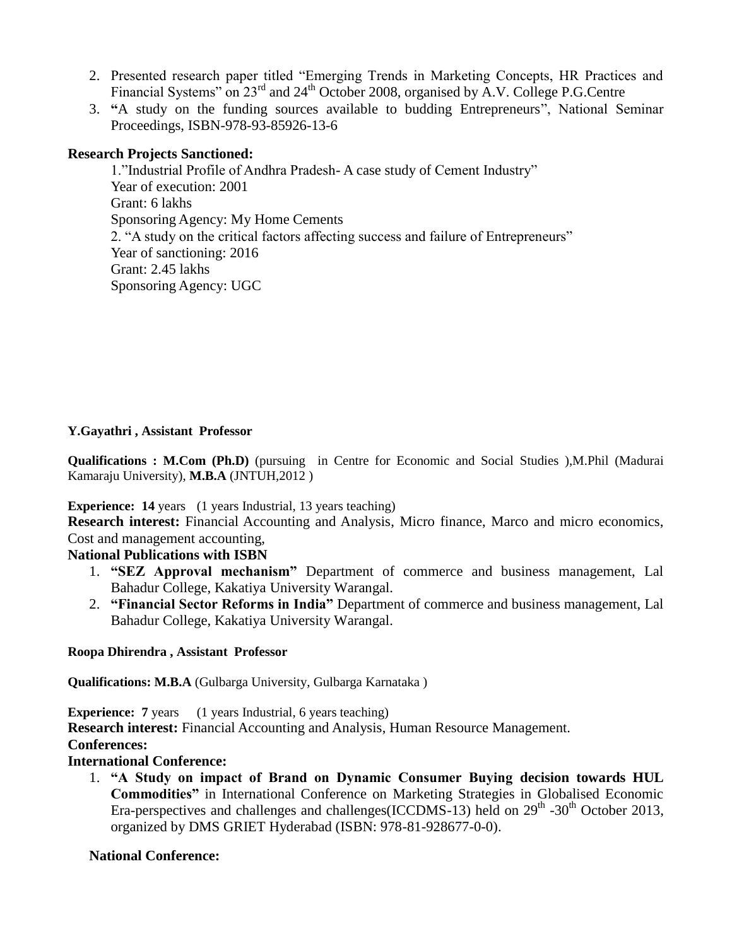- 2. Presented research paper titled "Emerging Trends in Marketing Concepts, HR Practices and Financial Systems" on 23<sup>rd</sup> and 24<sup>th</sup> October 2008, organised by A.V. College P.G.Centre
- 3. **"**A study on the funding sources available to budding Entrepreneurs", National Seminar Proceedings, ISBN-978-93-85926-13-6

## **Research Projects Sanctioned:**

1."Industrial Profile of Andhra Pradesh- A case study of Cement Industry" Year of execution: 2001 Grant: 6 lakhs Sponsoring Agency: My Home Cements 2. "A study on the critical factors affecting success and failure of Entrepreneurs" Year of sanctioning: 2016 Grant: 2.45 lakhs Sponsoring Agency: UGC

#### **Y.Gayathri , Assistant Professor**

**Qualifications : M.Com (Ph.D)** (pursuing in Centre for Economic and Social Studies ),M.Phil (Madurai Kamaraju University), **M.B.A** (JNTUH,2012 )

#### **Experience: 14** years (1 years Industrial, 13 years teaching)

**Research interest:** Financial Accounting and Analysis, Micro finance, Marco and micro economics, Cost and management accounting,

#### **National Publications with ISBN**

- 1. **"SEZ Approval mechanism"** Department of commerce and business management, Lal Bahadur College, Kakatiya University Warangal.
- 2. **"Financial Sector Reforms in India"** Department of commerce and business management, Lal Bahadur College, Kakatiya University Warangal.

#### **Roopa Dhirendra , Assistant Professor**

**Qualifications: M.B.A** (Gulbarga University, Gulbarga Karnataka )

**Experience:** 7 years (1 years Industrial, 6 years teaching) **Research interest:** Financial Accounting and Analysis, Human Resource Management. **Conferences:**

# **International Conference:**

1. **"A Study on impact of Brand on Dynamic Consumer Buying decision towards HUL Commodities"** in International Conference on Marketing Strategies in Globalised Economic Era-perspectives and challenges and challenges (ICCDMS-13) held on  $29<sup>th</sup>$  -30<sup>th</sup> October 2013, organized by DMS GRIET Hyderabad (ISBN: 978-81-928677-0-0).

# **National Conference:**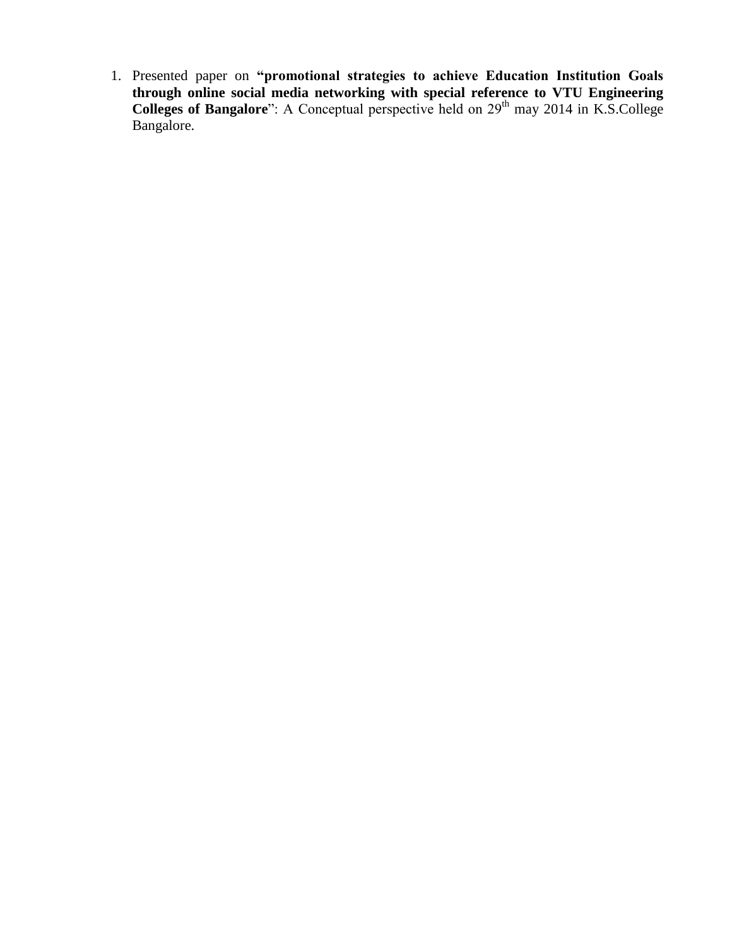1. Presented paper on **"promotional strategies to achieve Education Institution Goals through online social media networking with special reference to VTU Engineering Colleges of Bangalore**": A Conceptual perspective held on 29<sup>th</sup> may 2014 in K.S.College Bangalore.